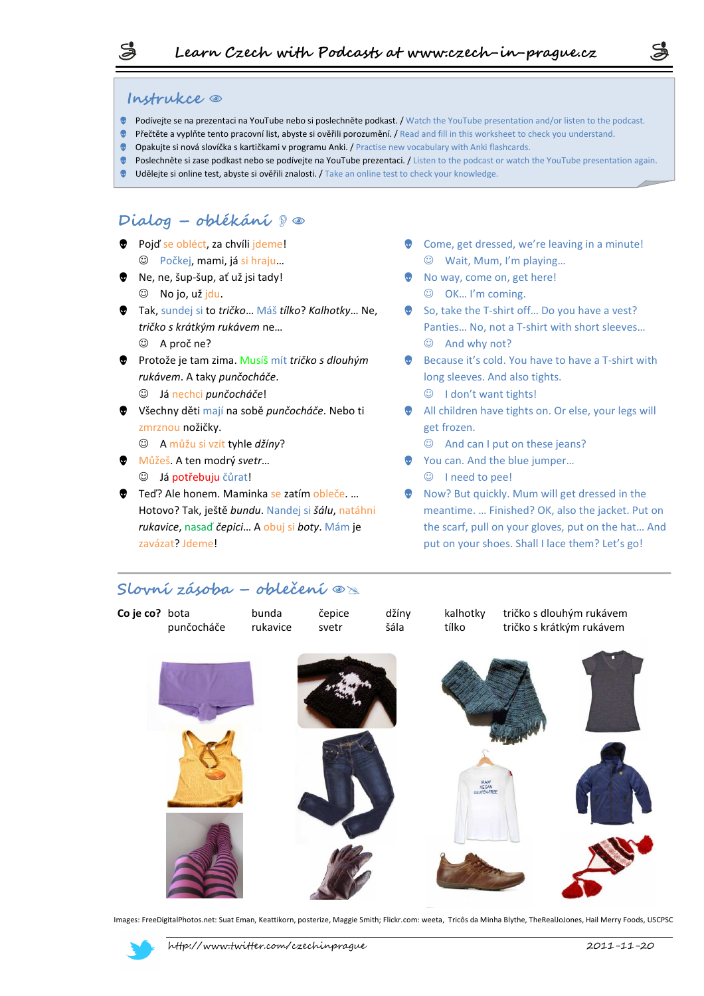### **Instrukce**  $\circ$

- Podívejte se na prezentaci na YouTube nebo si poslechněte podkast. / Watch the YouTube presentation and/or listen to the podcast.
- Přečtěte a vyplňte tento pracovní list, abyste si ověřili porozumění. / Read and fill in this worksheet to check you understand.
- Opakujte si nová slovíčka s kartičkami v programu Anki. / Practise new vocabulary with Anki flashcards.
- Poslechněte si zase podkast nebo se podívejte na YouTube prezentaci. / Listen to the podcast or watch the YouTube presentation again.
- Udělejte si online test, abyste si ověřili znalosti. / Take an online test to check your knowledge.

## **Dialog – oblékání** -

- **Pojď se obléct, za chvíli jdeme!** ☺ Počkej, mami, já si hraju…
- Ne, ne, šup-šup, ať už jsi tady!  $\circledcirc$  No jo, už jdu.
- Tak, sundej si to *tričko*… Máš *tílko*? *Kalhotky*… Ne, *tričko s krátkým rukávem* ne…
	- ☺ A proč ne?
- Protože je tam zima. Musíš mít *tričko s dlouhým rukávem*. A taky *punčocháče*. ☺ Já nechci *punčocháče*!
- Všechny děti mají na sobě *punčocháče*. Nebo ti zmrznou nožičky.
	- ☺ A můžu si vzít tyhle *džíny*?
- Můžeš. A ten modrý *svetr*… ☺ Já potřebuju čůrat!
- **●** Teď? Ale honem. Maminka se zatím obleče. ... Hotovo? Tak, ještě *bundu*. Nandej si *šálu*, natáhni *rukavice*, nasaď *čepici*… A obuj si *boty*. Mám je zavázat? Jdeme!

Come, get dressed, we're leaving in a minute! ☺ Wait, Mum, I'm playing…

S

- **No way, come on, get here!** 
	- ☺ OK… I'm coming.
- So, take the T-shirt off... Do you have a vest? Panties… No, not a T-shirt with short sleeves… ☺ And why not?
- **Because it's cold. You have to have a T-shirt with** long sleeves. And also tights. ☺ I don't want tights!
- All children have tights on. Or else, your legs will get frozen.
	- ☺ And can I put on these jeans?
- ◆ You can. And the blue jumper... ☺ I need to pee!
- Now? But quickly. Mum will get dressed in the meantime. … Finished? OK, also the jacket. Put on the scarf, pull on your gloves, put on the hat… And put on your shoes. Shall I lace them? Let's go!

## $\mathsf{Slovní zásoba} - \mathsf{oblečení} \circledast$



Images: FreeDigitalPhotos.net: Suat Eman, Keattikorn, posterize, Maggie Smith; Flickr.com: weeta, Tricôs da Minha Blythe, TheRealJoJones, Hail Merry Foods, USCPSC